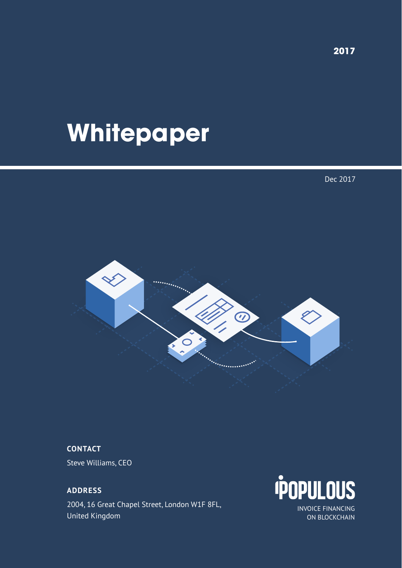# **Whitepaper**

Dec 2017



## **CONTACT**

Steve Williams, CEO

**ADDRESS** 2004, 16 Great Chapel Street, London W1F 8FL, United Kingdom



INVOICE FINANCING ON BLOCKCHAIN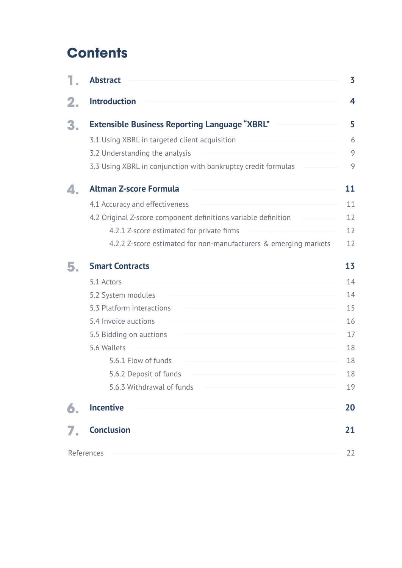# **Contents**

|    | <b>Abstract</b>                                                  | 3  |
|----|------------------------------------------------------------------|----|
|    | <b>Introduction</b>                                              | 4  |
| 3. | <b>Extensible Business Reporting Language "XBRL"</b>             | 5  |
|    | 3.1 Using XBRL in targeted client acquisition                    | 6  |
|    | 3.2 Understanding the analysis                                   | 9  |
|    | 3.3 Using XBRL in conjunction with bankruptcy credit formulas    | 9  |
| 4. | <b>Altman Z-score Formula</b>                                    | 11 |
|    | 4.1 Accuracy and effectiveness                                   | 11 |
|    | 4.2 Original Z-score component definitions variable definition   | 12 |
|    | 4.2.1 Z-score estimated for private firms                        | 12 |
|    | 4.2.2 Z-score estimated for non-manufacturers & emerging markets | 12 |
| 5. | <b>Smart Contracts</b>                                           | 13 |
|    | 5.1 Actors                                                       | 14 |
|    | 5.2 System modules                                               | 14 |
|    | 5.3 Platform interactions                                        | 15 |
|    | 5.4 Invoice auctions                                             | 16 |
|    | 5.5 Bidding on auctions                                          | 17 |
|    | 5.6 Wallets                                                      | 18 |
|    | 5.6.1 Flow of funds                                              | 18 |
|    | 5.6.2 Deposit of funds                                           | 18 |
|    | 5.6.3 Withdrawal of funds                                        | 19 |
| 6. | <b>Incentive</b>                                                 | 20 |
|    | <b>Conclusion</b>                                                | 21 |
|    | References                                                       | 22 |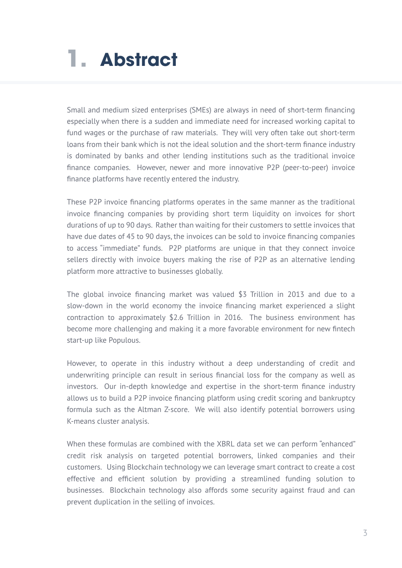# <span id="page-2-0"></span>**1. Abstract**

Small and medium sized enterprises (SMEs) are always in need of short-term financing especially when there is a sudden and immediate need for increased working capital to fund wages or the purchase of raw materials. They will very often take out short-term loans from their bank which is not the ideal solution and the short-term finance industry is dominated by banks and other lending institutions such as the traditional invoice finance companies. However, newer and more innovative P2P (peer-to-peer) invoice finance platforms have recently entered the industry.

These P2P invoice financing platforms operates in the same manner as the traditional invoice financing companies by providing short term liquidity on invoices for short durations of up to 90 days. Rather than waiting for their customers to settle invoices that have due dates of 45 to 90 days, the invoices can be sold to invoice financing companies to access "immediate" funds. P2P platforms are unique in that they connect invoice sellers directly with invoice buyers making the rise of P2P as an alternative lending platform more attractive to businesses globally.

The global invoice financing market was valued \$3 Trillion in 2013 and due to a slow-down in the world economy the invoice financing market experienced a slight contraction to approximately \$2.6 Trillion in 2016. The business environment has become more challenging and making it a more favorable environment for new fintech start-up like Populous.

However, to operate in this industry without a deep understanding of credit and underwriting principle can result in serious financial loss for the company as well as investors. Our in-depth knowledge and expertise in the short-term finance industry allows us to build a P2P invoice financing platform using credit scoring and bankruptcy formula such as the Altman Z-score. We will also identify potential borrowers using K-means cluster analysis.

When these formulas are combined with the XBRL data set we can perform "enhanced" credit risk analysis on targeted potential borrowers, linked companies and their customers. Using Blockchain technology we can leverage smart contract to create a cost effective and efficient solution by providing a streamlined funding solution to businesses. Blockchain technology also affords some security against fraud and can prevent duplication in the selling of invoices.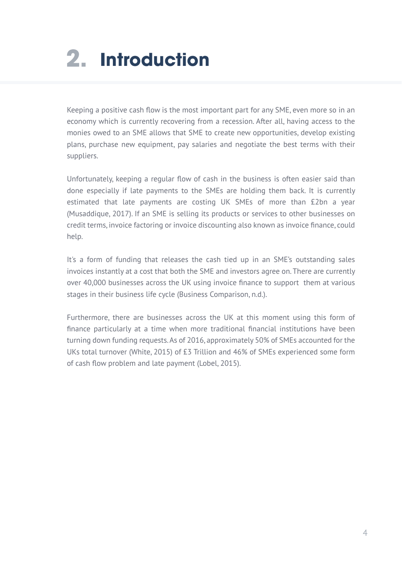# <span id="page-3-0"></span>**2. Introduction**

Keeping a positive cash flow is the most important part for any SME, even more so in an economy which is currently recovering from a recession. After all, having access to the monies owed to an SME allows that SME to create new opportunities, develop existing plans, purchase new equipment, pay salaries and negotiate the best terms with their suppliers.

Unfortunately, keeping a regular flow of cash in the business is often easier said than done especially if late payments to the SMEs are holding them back. It is currently estimated that late payments are costing UK SMEs of more than £2bn a year (Musaddique, 2017). If an SME is selling its products or services to other businesses on credit terms, invoice factoring or invoice discounting also known as invoice finance, could help.

It's a form of funding that releases the cash tied up in an SME's outstanding sales invoices instantly at a cost that both the SME and investors agree on. There are currently over 40,000 businesses across the UK using invoice finance to support them at various stages in their business life cycle (Business Comparison, n.d.).

Furthermore, there are businesses across the UK at this moment using this form of finance particularly at a time when more traditional financial institutions have been turning down funding requests. As of 2016, approximately 50% of SMEs accounted for the UKs total turnover (White, 2015) of £3 Trillion and 46% of SMEs experienced some form of cash flow problem and late payment (Lobel, 2015).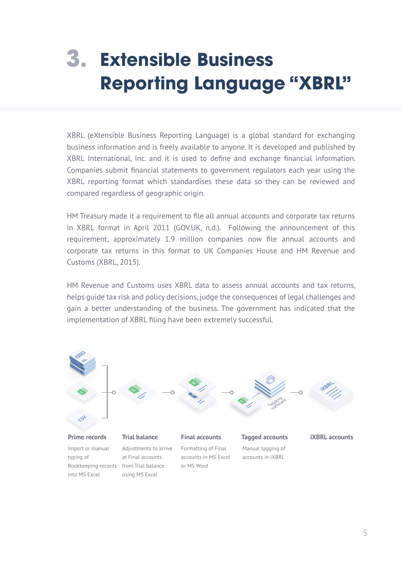# <span id="page-4-0"></span>**Extensible Business 3. Reporting Language "XBRL"**

XBRL (eXtensible Business Reporting Language) is a global standard for exchanging business information and is freely available to anyone. It is developed and published by XBRL International, Inc. and it is used to define and exchange financial information. Companies submit financial statements to government regulators each year using the XBRL reporting format which standardises these data so they can be reviewed and compared regardless of geographic origin.

HM Treasury made it a requirement to file all annual accounts and corporate tax returns in XBRL format in April 2011 (GOV.UK, n.d.). Following the announcement of this requirement, approximately 1.9 million companies now file annual accounts and corporate tax returns in this format to UK Companies House and HM Revenue and Customs (XBRL, 2015).

HM Revenue and Customs uses XBRL data to assess annual accounts and tax returns, helps guide tax risk and policy decisions, judge the consequences of legal challenges and gain a better understanding of the business. The government has indicated that the implementation of XBRL filing have been extremely successful.

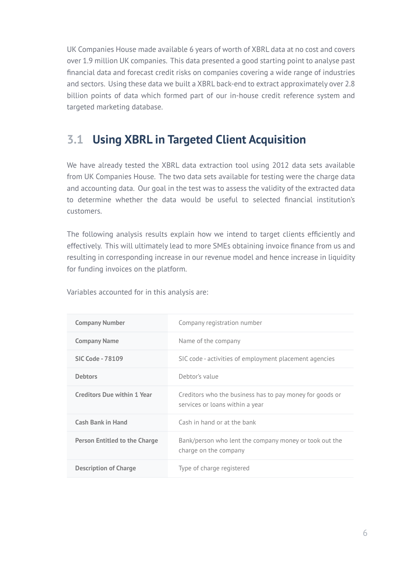<span id="page-5-0"></span>UK Companies House made available 6 years of worth of XBRL data at no cost and covers over 1.9 million UK companies. This data presented a good starting point to analyse past financial data and forecast credit risks on companies covering a wide range of industries and sectors. Using these data we built a XBRL back-end to extract approximately over 2.8 billion points of data which formed part of our in-house credit reference system and targeted marketing database.

## **3.1 Using XBRL in Targeted Client Acquisition**

We have already tested the XBRL data extraction tool using 2012 data sets available from UK Companies House. The two data sets available for testing were the charge data and accounting data. Our goal in the test was to assess the validity of the extracted data to determine whether the data would be useful to selected financial institution's customers.

The following analysis results explain how we intend to target clients efficiently and effectively. This will ultimately lead to more SMEs obtaining invoice finance from us and resulting in corresponding increase in our revenue model and hence increase in liquidity for funding invoices on the platform.

| <b>Company Number</b>                | Company registration number                                                                 |
|--------------------------------------|---------------------------------------------------------------------------------------------|
| <b>Company Name</b>                  | Name of the company                                                                         |
| <b>SIC Code - 78109</b>              | SIC code - activities of employment placement agencies                                      |
| <b>Debtors</b>                       | Debtor's value                                                                              |
| <b>Creditors Due within 1 Year</b>   | Creditors who the business has to pay money for goods or<br>services or loans within a year |
| <b>Cash Bank in Hand</b>             | Cash in hand or at the bank                                                                 |
| <b>Person Entitled to the Charge</b> | Bank/person who lent the company money or took out the<br>charge on the company             |
| <b>Description of Charge</b>         | Type of charge registered                                                                   |
|                                      |                                                                                             |

Variables accounted for in this analysis are: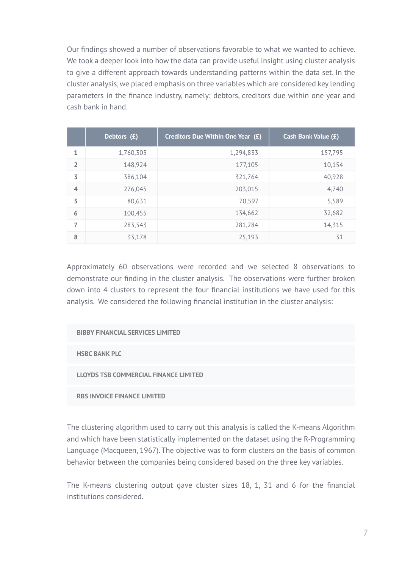Our findings showed a number of observations favorable to what we wanted to achieve. We took a deeper look into how the data can provide useful insight using cluster analysis to give a different approach towards understanding patterns within the data set. In the cluster analysis, we placed emphasis on three variables which are considered key lending parameters in the finance industry, namely; debtors, creditors due within one year and cash bank in hand.

|                | Debtors (£) | Creditors Due Within One Year (£) | <b>Cash Bank Value (£)</b> |
|----------------|-------------|-----------------------------------|----------------------------|
| 1              | 1,760,305   | 1,294,833                         | 157,795                    |
| $\overline{2}$ | 148,924     | 177,105                           | 10,154                     |
| 3              | 386,104     | 321,764                           | 40,928                     |
| $\overline{4}$ | 276,045     | 203,015                           | 4,740                      |
| 5              | 80,631      | 70,597                            | 5,589                      |
| 6              | 100,455     | 134,662                           | 32,682                     |
| 7              | 283,543     | 281,284                           | 14,315                     |
| 8              | 33,178      | 25,193                            | 31                         |

Approximately 60 observations were recorded and we selected 8 observations to demonstrate our finding in the cluster analysis. The observations were further broken down into 4 clusters to represent the four financial institutions we have used for this analysis. We considered the following financial institution in the cluster analysis:

**BIBBY FINANCIAL SERVICES LIMITED**

**HSBC BANK PLC**

**LLOYDS TSB COMMERCIAL FINANCE LIMITED**

**RBS INVOICE FINANCE LIMITED**

The clustering algorithm used to carry out this analysis is called the K-means Algorithm and which have been statistically implemented on the dataset using the R-Programming Language (Macqueen, 1967). The objective was to form clusters on the basis of common behavior between the companies being considered based on the three key variables.

The K-means clustering output gave cluster sizes 18, 1, 31 and 6 for the financial institutions considered.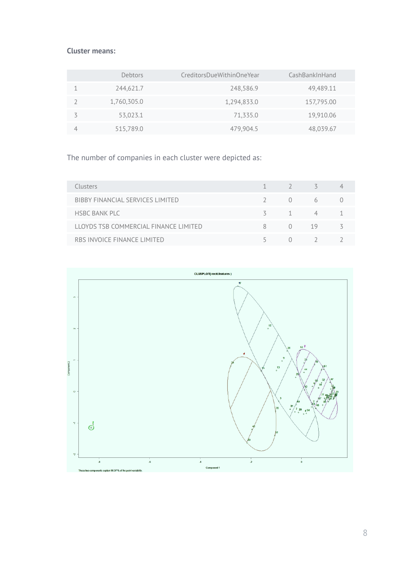#### **Cluster means:**

| Debtors     | CreditorsDueWithinOneYear | CashBankInHand |
|-------------|---------------------------|----------------|
| 244,621.7   | 248,586.9                 | 49,489.11      |
| 1,760,305.0 | 1,294,833.0               | 157,795.00     |
| 53,023.1    | 71,335.0                  | 19,910.06      |
| 515,789.0   | 479,904.5                 | 48,039.67      |

The number of companies in each cluster were depicted as:

| Clusters                              |   | $1 \quad 2 \quad 5$ |               |  |
|---------------------------------------|---|---------------------|---------------|--|
| BIBBY FINANCIAL SERVICES LIMITED      |   |                     | $0\qquad 6$   |  |
| <b>HSBC BANK PLC</b>                  |   |                     | $3 \t 1 \t 4$ |  |
| LLOYDS TSB COMMERCIAL FINANCE LIMITED | 8 | $(1)$ 19            |               |  |
| RBS INVOICE FINANCE LIMITED           |   |                     | (1)           |  |

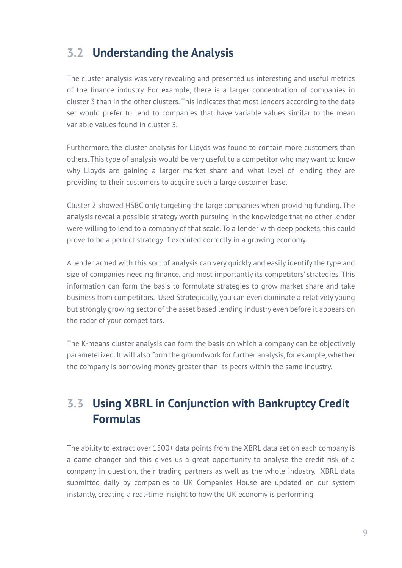## <span id="page-8-0"></span>**3.2 Understanding the Analysis**

The cluster analysis was very revealing and presented us interesting and useful metrics of the finance industry. For example, there is a larger concentration of companies in cluster 3 than in the other clusters. This indicates that most lenders according to the data set would prefer to lend to companies that have variable values similar to the mean variable values found in cluster 3.

Furthermore, the cluster analysis for Lloyds was found to contain more customers than others. This type of analysis would be very useful to a competitor who may want to know why Lloyds are gaining a larger market share and what level of lending they are providing to their customers to acquire such a large customer base.

Cluster 2 showed HSBC only targeting the large companies when providing funding. The analysis reveal a possible strategy worth pursuing in the knowledge that no other lender were willing to lend to a company of that scale. To a lender with deep pockets, this could prove to be a perfect strategy if executed correctly in a growing economy.

A lender armed with this sort of analysis can very quickly and easily identify the type and size of companies needing finance, and most importantly its competitors' strategies. This information can form the basis to formulate strategies to grow market share and take business from competitors. Used Strategically, you can even dominate a relatively young but strongly growing sector of the asset based lending industry even before it appears on the radar of your competitors.

The K-means cluster analysis can form the basis on which a company can be objectively parameterized. It will also form the groundwork for further analysis, for example, whether the company is borrowing money greater than its peers within the same industry.

## **3.3 Using XBRL in Conjunction with Bankruptcy Credit Formulas**

The ability to extract over 1500+ data points from the XBRL data set on each company is a game changer and this gives us a great opportunity to analyse the credit risk of a company in question, their trading partners as well as the whole industry. XBRL data submitted daily by companies to UK Companies House are updated on our system instantly, creating a real-time insight to how the UK economy is performing.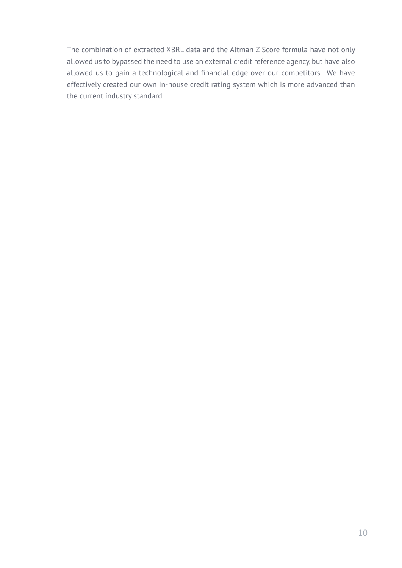The combination of extracted XBRL data and the Altman Z-Score formula have not only allowed us to bypassed the need to use an external credit reference agency, but have also allowed us to gain a technological and financial edge over our competitors. We have effectively created our own in-house credit rating system which is more advanced than the current industry standard.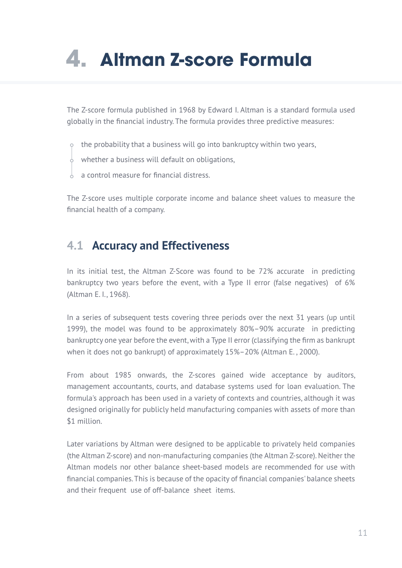# <span id="page-10-0"></span>**4. Altman Z-score Formula**

The Z-score formula published in 1968 by Edward I. Altman is a standard formula used globally in the financial industry. The formula provides three predictive measures:

- $\circ$  the probability that a business will go into bankruptcy within two years,
- $\overrightarrow{\varphi}$  whether a business will default on obligations,
- a control measure for financial distress.

The Z-score uses multiple corporate income and balance sheet values to measure the financial health of a company.

## **4.1 Accuracy and Effectiveness**

In its initial test, the Altman Z-Score was found to be 72% accurate in predicting bankruptcy two years before the event, with a Type II error (false negatives) of 6% (Altman E. I., 1968).

In a series of subsequent tests covering three periods over the next 31 years (up until 1999), the model was found to be approximately 80%–90% accurate in predicting bankruptcy one year before the event, with a Type II error (classifying the firm as bankrupt when it does not go bankrupt) of approximately 15%–20% (Altman E. , 2000).

From about 1985 onwards, the Z-scores gained wide acceptance by auditors, management accountants, courts, and database systems used for loan evaluation. The formula's approach has been used in a variety of contexts and countries, although it was designed originally for publicly held manufacturing companies with assets of more than \$1 million.

Later variations by Altman were designed to be applicable to privately held companies (the Altman Z-score) and non-manufacturing companies (the Altman Z-score). Neither the Altman models nor other balance sheet-based models are recommended for use with financial companies. This is because of the opacity of financial companies' balance sheets and their frequent use of off-balance sheet items.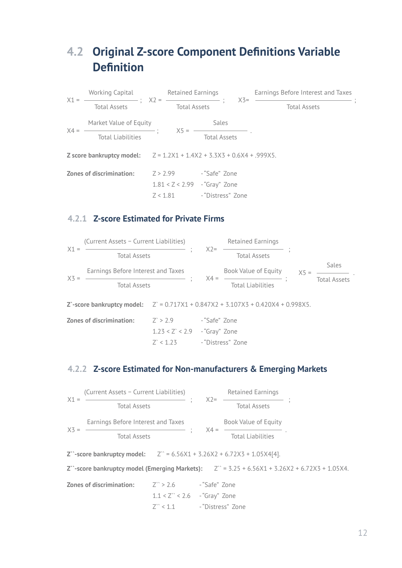## <span id="page-11-0"></span>**4.2 Original Z-score Component Definitions Variable Definition**

|                                                                                 |  | Working Capital <b>Retained Earnings</b> |                                 | Earnings Before Interest and Taxes |  |  |
|---------------------------------------------------------------------------------|--|------------------------------------------|---------------------------------|------------------------------------|--|--|
| <b>Total Assets Total Assets</b>                                                |  |                                          |                                 | <b>Total Assets</b>                |  |  |
| Market Value of Equity                                                          |  |                                          | <b>Sales</b>                    |                                    |  |  |
| $X4 =$ Total Liabilities $X5 =$ Total Assets                                    |  |                                          |                                 |                                    |  |  |
| <b>Z</b> score bankruptcy model: $Z = 1.2X1 + 1.4X2 + 3.3X3 + 0.6X4 + 0.99X5$ . |  |                                          |                                 |                                    |  |  |
| <b>Zones of discrimination:</b>                                                 |  |                                          | $Z > 2.99$ - "Safe" Zone        |                                    |  |  |
|                                                                                 |  |                                          | $1.81 < Z < 2.99$ - "Gray" Zone |                                    |  |  |
|                                                                                 |  |                                          | Z < 1.81 - "Distress" Zone      |                                    |  |  |

#### **4.2.1 Z-score Estimated for Private Firms**

| X1      | (Current Assets - Current Liabilities) |     | <b>Retained Earnings</b>    |  |                     |  |
|---------|----------------------------------------|-----|-----------------------------|--|---------------------|--|
|         | <b>Total Assets</b>                    | X2= | <b>Total Assets</b>         |  |                     |  |
| $X_5 =$ | Earnings Before Interest and Taxes     |     | <b>Book Value of Equity</b> |  | Sales               |  |
|         | <b>Total Assets</b>                    |     | <b>Total Liabilities</b>    |  | <b>Total Assets</b> |  |
|         |                                        |     |                             |  |                     |  |

Z` > 2.9 - "Safe" Zone 1.23 < Z` < 2.9 - "Gray" Zone **Z`-score bankruptcy model:**  $Z = 0.717X1 + 0.847X2 + 3.107X3 + 0.420X4 + 0.998X5$ . **Zones of discrimination:**

### **4.2.2 Z-score Estimated for Non-manufacturers & Emerging Markets**

Z` < 1.23 - "Distress" Zone

| X1 | (Current Assets - Current Liabilities) |  | $X2 =$ | <b>Retained Earnings</b>    |  |
|----|----------------------------------------|--|--------|-----------------------------|--|
|    | <b>Total Assets</b>                    |  |        | <b>Total Assets</b>         |  |
| X3 | Earnings Before Interest and Taxes     |  |        | <b>Book Value of Equity</b> |  |
|    | <b>Total Assets</b>                    |  |        | <b>Total Liabilities</b>    |  |

**Z``-score bankruptcy model:**  $Z$ <sup>\*\*</sup> = 6.56X1 + 3.26X2 + 6.72X3 + 1.05X4[4].

**Z``-score bankruptcy model (Emerging Markets):** Z`` = 3.25 + 6.56X1 + 3.26X2 + 6.72X3 + 1.05X4.

Z`` > 2.6 - "Safe" Zone 1.1 < Z`` < 2.6 - "Gray" Zone Z`` < 1.1 - "Distress" Zone **Zones of discrimination:**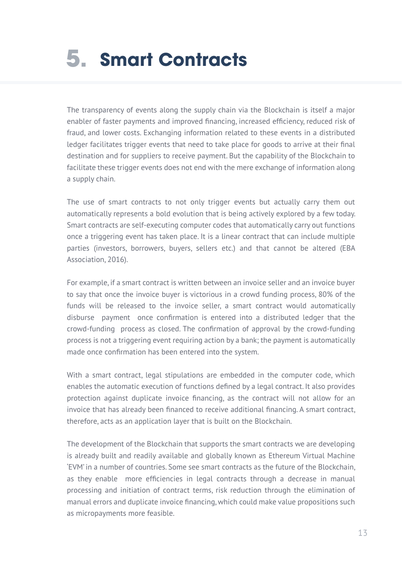# <span id="page-12-0"></span>**5. Smart Contracts**

The transparency of events along the supply chain via the Blockchain is itself a major enabler of faster payments and improved financing, increased efficiency, reduced risk of fraud, and lower costs. Exchanging information related to these events in a distributed ledger facilitates trigger events that need to take place for goods to arrive at their final destination and for suppliers to receive payment. But the capability of the Blockchain to facilitate these trigger events does not end with the mere exchange of information along a supply chain.

The use of smart contracts to not only trigger events but actually carry them out automatically represents a bold evolution that is being actively explored by a few today. Smart contracts are self-executing computer codes that automatically carry out functions once a triggering event has taken place. It is a linear contract that can include multiple parties (investors, borrowers, buyers, sellers etc.) and that cannot be altered (EBA Association, 2016).

For example, if a smart contract is written between an invoice seller and an invoice buyer to say that once the invoice buyer is victorious in a crowd funding process, 80% of the funds will be released to the invoice seller, a smart contract would automatically disburse payment once confirmation is entered into a distributed ledger that the crowd-funding process as closed. The confirmation of approval by the crowd-funding process is not a triggering event requiring action by a bank; the payment is automatically made once confirmation has been entered into the system.

With a smart contract, legal stipulations are embedded in the computer code, which enables the automatic execution of functions defined by a legal contract. It also provides protection against duplicate invoice financing, as the contract will not allow for an invoice that has already been financed to receive additional financing. A smart contract, therefore, acts as an application layer that is built on the Blockchain.

The development of the Blockchain that supports the smart contracts we are developing is already built and readily available and globally known as Ethereum Virtual Machine 'EVM' in a number of countries. Some see smart contracts as the future of the Blockchain, as they enable more efficiencies in legal contracts through a decrease in manual processing and initiation of contract terms, risk reduction through the elimination of manual errors and duplicate invoice financing, which could make value propositions such as micropayments more feasible.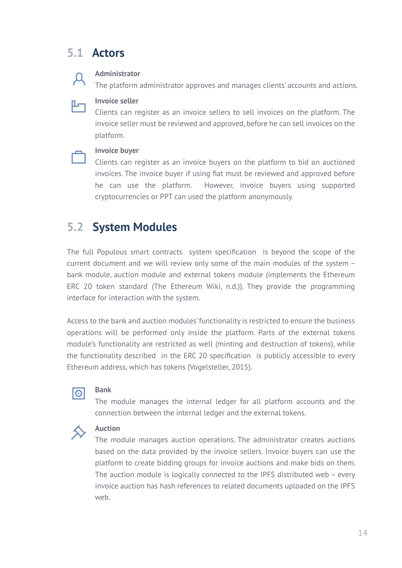## <span id="page-13-0"></span>**5.1 Actors**

#### **Administrator**

The platform administrator approves and manages clients' accounts and actions.



 $\mathcal{A}$ 

#### **Invoice seller**

Clients can register as an invoice sellers to sell invoices on the platform. The invoice seller must be reviewed and approved, before he can sell invoices on the platform.

### **Invoice buyer**

Clients can register as an invoice buyers on the platform to bid on auctioned invoices. The invoice buyer if using fiat must be reviewed and approved before he can use the platform. However, invoice buyers using supported cryptocurrencies or PPT can used the platform anonymously.

# **5.2 System Modules**

The full Populous smart contracts system specification is beyond the scope of the current document and we will review only some of the main modules of the system – bank module, auction module and external tokens module (implements the Ethereum ERC 20 token standard (The Ethereum Wiki, n.d.)). They provide the programming interface for interaction with the system.

Access to the bank and auction modules' functionality is restricted to ensure the business operations will be performed only inside the platform. Parts of the external tokens module's functionality are restricted as well (minting and destruction of tokens), while the functionality described in the ERC 20 specification is publicly accessible to every Ethereum address, which has tokens (Vogelsteller, 2015).



### **Bank**

The module manages the internal ledger for all platform accounts and the connection between the internal ledger and the external tokens.



### **Auction**

The module manages auction operations. The administrator creates auctions based on the data provided by the invoice sellers. Invoice buyers can use the platform to create bidding groups for invoice auctions and make bids on them. The auction module is logically connected to the IPFS distributed web – every invoice auction has hash references to related documents uploaded on the IPFS web.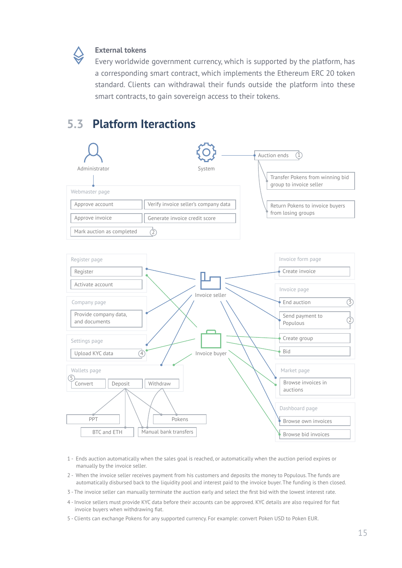<span id="page-14-0"></span>

#### **External tokens**

Every worldwide government currency, which is supported by the platform, has a corresponding smart contract, which implements the Ethereum ERC 20 token standard. Clients can withdrawal their funds outside the platform into these smart contracts, to gain sovereign access to their tokens.

## **5.3 Platform Iteractions**



- 1 Ends auction automatically when the sales goal is reached, or automatically when the auction period expires or manually by the invoice seller.
- 2 When the invoice seller receives payment from his customers and deposits the money to Populous. The funds are automatically disbursed back to the liquidity pool and interest paid to the invoice buyer. The funding is then closed.
- 3 The invoice seller can manually terminate the auction early and select the first bid with the lowest interest rate.
- 4 Invoice sellers must provide KYC data before their accounts can be approved. KYC details are also required for fiat invoice buyers when withdrawing fiat.
- 5 Clients can exchange Pokens for any supported currency. For example: convert Poken USD to Poken EUR.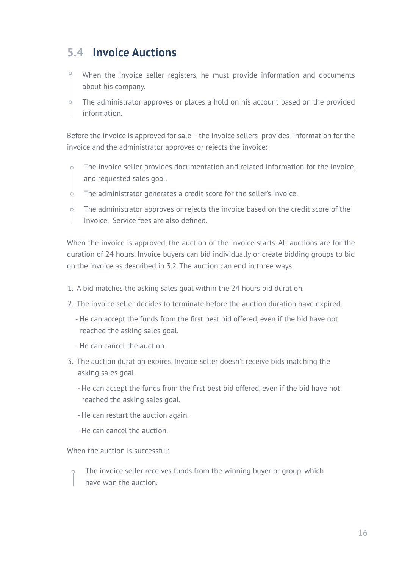## <span id="page-15-0"></span>**5.4 Invoice Auctions**

When the invoice seller registers, he must provide information and documents about his company.

The administrator approves or places a hold on his account based on the provided information.

Before the invoice is approved for sale – the invoice sellers provides information for the invoice and the administrator approves or rejects the invoice:

The invoice seller provides documentation and related information for the invoice, and requested sales goal.

The administrator generates a credit score for the seller's invoice.

The administrator approves or rejects the invoice based on the credit score of the Invoice. Service fees are also defined.

When the invoice is approved, the auction of the invoice starts. All auctions are for the duration of 24 hours. Invoice buyers can bid individually or create bidding groups to bid on the invoice as described in 3.2. The auction can end in three ways:

- 1. A bid matches the asking sales goal within the 24 hours bid duration.
- 2. The invoice seller decides to terminate before the auction duration have expired.
	- He can accept the funds from the first best bid offered, even if the bid have not reached the asking sales goal.
	- He can cancel the auction.
- 3. The auction duration expires. Invoice seller doesn't receive bids matching the asking sales goal.
	- He can accept the funds from the first best bid offered, even if the bid have not reached the asking sales goal.
	- He can restart the auction again.
	- He can cancel the auction.

When the auction is successful:

The invoice seller receives funds from the winning buyer or group, which  $\circ$ have won the auction.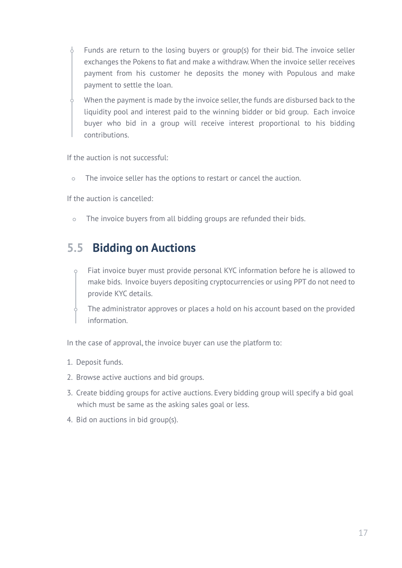- <span id="page-16-0"></span> $\sqrt{2}$ Funds are return to the losing buyers or group(s) for their bid. The invoice seller exchanges the Pokens to fiat and make a withdraw. When the invoice seller receives payment from his customer he deposits the money with Populous and make payment to settle the loan.
	- When the payment is made by the invoice seller, the funds are disbursed back to the liquidity pool and interest paid to the winning bidder or bid group. Each invoice buyer who bid in a group will receive interest proportional to his bidding contributions.

If the auction is not successful:

The invoice seller has the options to restart or cancel the auction.  $\circ$ 

If the auction is cancelled:

The invoice buyers from all bidding groups are refunded their bids.  $\circ$ 

## **5.5 Bidding on Auctions**

- Fiat invoice buyer must provide personal KYC information before he is allowed to make bids. Invoice buyers depositing cryptocurrencies or using PPT do not need to provide KYC details.
	- The administrator approves or places a hold on his account based on the provided information.

In the case of approval, the invoice buyer can use the platform to:

- 1. Deposit funds.
- 2. Browse active auctions and bid groups.
- 3. Create bidding groups for active auctions. Every bidding group will specify a bid goal which must be same as the asking sales goal or less.
- 4. Bid on auctions in bid group(s).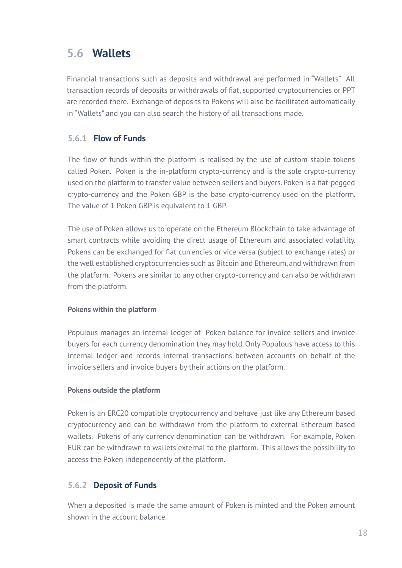## <span id="page-17-0"></span>**5.6 Wallets**

Financial transactions such as deposits and withdrawal are performed in "Wallets". All transaction records of deposits or withdrawals of fiat, supported cryptocurrencies or PPT are recorded there. Exchange of deposits to Pokens will also be facilitated automatically in "Wallets" and you can also search the history of all transactions made.

## **5.6.1 Flow of Funds**

The flow of funds within the platform is realised by the use of custom stable tokens called Poken. Poken is the in-platform crypto-currency and is the sole crypto-currency used on the platform to transfer value between sellers and buyers. Poken is a fiat-pegged crypto-currency and the Poken GBP is the base crypto-currency used on the platform. The value of 1 Poken GBP is equivalent to 1 GBP.

The use of Poken allows us to operate on the Ethereum Blockchain to take advantage of smart contracts while avoiding the direct usage of Ethereum and associated volatility. Pokens can be exchanged for fiat currencies or vice versa (subject to exchange rates) or the well established cryptocurrencies such as Bitcoin and Ethereum, and withdrawn from the platform. Pokens are similar to any other crypto-currency and can also be withdrawn from the platform.

### **Pokens within the platform**

Populous manages an internal ledger of Poken balance for invoice sellers and invoice buyers for each currency denomination they may hold. Only Populous have access to this internal ledger and records internal transactions between accounts on behalf of the invoice sellers and invoice buyers by their actions on the platform.

### **Pokens outside the platform**

Poken is an ERC20 compatible cryptocurrency and behave just like any Ethereum based cryptocurrency and can be withdrawn from the platform to external Ethereum based wallets. Pokens of any currency denomination can be withdrawn. For example, Poken EUR can be withdrawn to wallets external to the platform. This allows the possibility to access the Poken independently of the platform.

### **5.6.2 Deposit of Funds**

When a deposited is made the same amount of Poken is minted and the Poken amount shown in the account balance.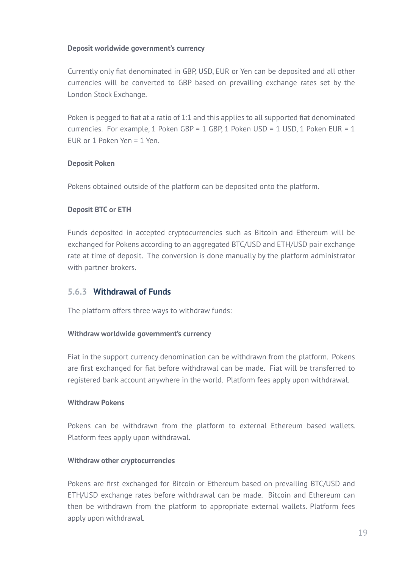#### <span id="page-18-0"></span>**Deposit worldwide government's currency**

Currently only fiat denominated in GBP, USD, EUR or Yen can be deposited and all other currencies will be converted to GBP based on prevailing exchange rates set by the London Stock Exchange.

Poken is pegged to fiat at a ratio of 1:1 and this applies to all supported fiat denominated currencies. For example, 1 Poken GBP = 1 GBP, 1 Poken USD = 1 USD, 1 Poken EUR = 1 EUR or 1 Poken Yen = 1 Yen.

#### **Deposit Poken**

Pokens obtained outside of the platform can be deposited onto the platform.

#### **Deposit BTC or ETH**

Funds deposited in accepted cryptocurrencies such as Bitcoin and Ethereum will be exchanged for Pokens according to an aggregated BTC/USD and ETH/USD pair exchange rate at time of deposit. The conversion is done manually by the platform administrator with partner brokers.

### **5.6.3 Withdrawal of Funds**

The platform offers three ways to withdraw funds:

#### **Withdraw worldwide government's currency**

Fiat in the support currency denomination can be withdrawn from the platform. Pokens are first exchanged for fiat before withdrawal can be made. Fiat will be transferred to registered bank account anywhere in the world. Platform fees apply upon withdrawal.

#### **Withdraw Pokens**

Pokens can be withdrawn from the platform to external Ethereum based wallets. Platform fees apply upon withdrawal.

#### **Withdraw other cryptocurrencies**

Pokens are first exchanged for Bitcoin or Ethereum based on prevailing BTC/USD and ETH/USD exchange rates before withdrawal can be made. Bitcoin and Ethereum can then be withdrawn from the platform to appropriate external wallets. Platform fees apply upon withdrawal.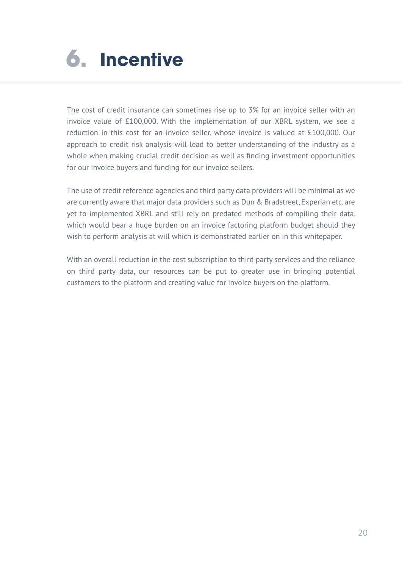# <span id="page-19-0"></span>**6. Incentive**

The cost of credit insurance can sometimes rise up to 3% for an invoice seller with an invoice value of £100,000. With the implementation of our XBRL system, we see a reduction in this cost for an invoice seller, whose invoice is valued at £100,000. Our approach to credit risk analysis will lead to better understanding of the industry as a whole when making crucial credit decision as well as finding investment opportunities for our invoice buyers and funding for our invoice sellers.

The use of credit reference agencies and third party data providers will be minimal as we are currently aware that major data providers such as Dun & Bradstreet, Experian etc. are yet to implemented XBRL and still rely on predated methods of compiling their data, which would bear a huge burden on an invoice factoring platform budget should they wish to perform analysis at will which is demonstrated earlier on in this whitepaper.

With an overall reduction in the cost subscription to third party services and the reliance on third party data, our resources can be put to greater use in bringing potential customers to the platform and creating value for invoice buyers on the platform.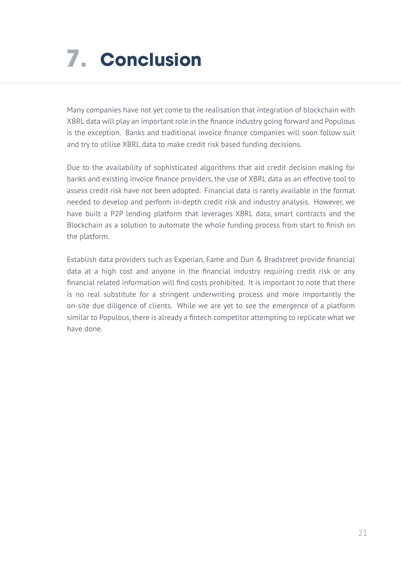# <span id="page-20-0"></span>**7. Conclusion**

Many companies have not yet come to the realisation that integration of blockchain with XBRL data will play an important role in the finance industry going forward and Populous is the exception. Banks and traditional invoice finance companies will soon follow suit and try to utilise XBRL data to make credit risk based funding decisions.

Due to the availability of sophisticated algorithms that aid credit decision making for banks and existing invoice finance providers, the use of XBRL data as an effective tool to assess credit risk have not been adopted. Financial data is rarely available in the format needed to develop and perform in-depth credit risk and industry analysis. However, we have built a P2P lending platform that leverages XBRL data, smart contracts and the Blockchain as a solution to automate the whole funding process from start to finish on the platform.

Establish data providers such as Experian, Fame and Dun & Bradstreet provide financial data at a high cost and anyone in the financial industry requiring credit risk or any financial related information will find costs prohibited. It is important to note that there is no real substitute for a stringent underwriting process and more importantly the on-site due diligence of clients. While we are yet to see the emergence of a platform similar to Populous, there is already a fintech competitor attempting to replicate what we have done.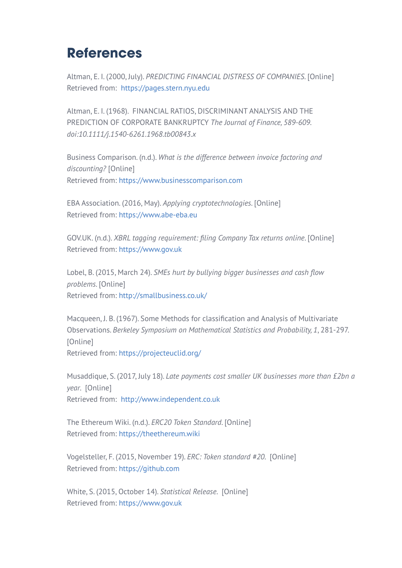# <span id="page-21-0"></span>**References**

Altman, E. I. (2000, July). *PREDICTING FINANCIAL DISTRESS OF COMPANIES*. [Online] Retrieved from: [https://pages.stern.nyu.edu](http://pages.stern.nyu.edu/~ealtman/Zscores.pdf)

Altman, E. I. (1968). FINANCIAL RATIOS, DISCRIMINANT ANALYSIS AND THE PREDICTION OF CORPORATE BANKRUPTCY *The Journal of Finance, 589-609. doi:10.1111/j.1540-6261.1968.tb00843.x*

Business Comparison. (n.d.). *What is the difference between invoice factoring and discounting?* [Online] Retrieved from[: https://www.businesscomparison.com](https://www.businesscomparison.com/invoice-finance)

EBA Association. (2016, May). *Applying cryptotechnologies*. [Online] Retrieved from[: https://www.abe-eba.eu](https://www.abe-eba.eu/media/azure/production/1549/applying-cryptotechnologies-to-trade-finance.pdf)

GOV.UK. (n.d.). *XBRL tagging requirement: filing Company Tax returns online*. [Online] Retrieved from[: https://www.gov.uk](https://www.gov.uk/government/publications/xbrl-tagging-requirement-filing-company-tax-returns-online)

Lobel, B. (2015, March 24). *SMEs hurt by bullying bigger businesses and cash flow problems*. [Online] Retrieved from[: http://smallbusiness.co.uk/](http://smallbusiness.co.uk/budget-2015-government-must-do-more-to-level-the-business-playing-field-2481571)

Macqueen, J. B. (1967). Some Methods for classification and Analysis of Multivariate Observations. *Berkeley Symposium on Mathematical Statistics and Probability, 1*, 281-297. [Online] Retrieved from[: https://projecteuclid.org/](https://projecteuclid.org/euclid.bsmsp/1200512992)

Musaddique, S. (2017, July 18). *Late payments cost smaller UK businesses more than £2bn a year*. [Online] Retrieved from: [http://www.independent.co.uk](http://www.independent.co.uk/news/business/news/late-payments-uk-business-cost-sme-2-billion-a-year-bacs-payment-customers-a7846781.html)

The Ethereum Wiki. (n.d.). *ERC20 Token Standard*. [Online] Retrieved from: [https://theethereum.wiki](https://theethereum.wiki/w/index.php/ERC20_Token_Standard)

Vogelsteller, F. (2015, November 19). *ERC: Token standard #20*. [Online] Retrieved from: [https://github.com](https://github.com/ethereum/eips/issues/20)

White, S. (2015, October 14). *Statistical Release*. [Online] Retrieved from: [https://www.gov.uk](https://www.gov.uk/government/uploads/system/uploads/attachment_data/file/467443/bpe_2015_statistical_release.pdf)